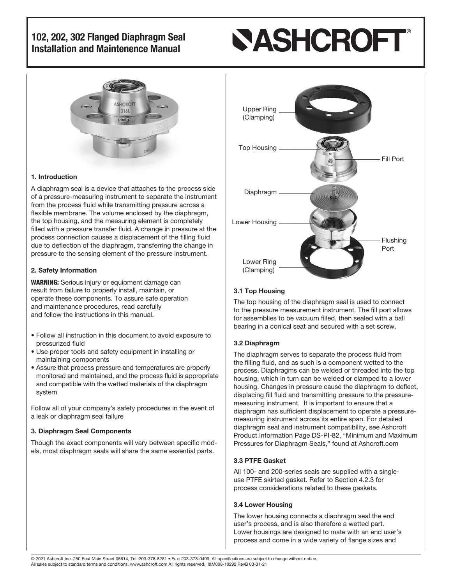# **NASHCROFI**



#### 1. Introduction

A diaphragm seal is a device that attaches to the process side of a pressure-measuring instrument to separate the instrument from the process fluid while transmitting pressure across a flexible membrane. The volume enclosed by the diaphragm, the top housing, and the measuring element is completely filled with a pressure transfer fluid. A change in pressure at the process connection causes a displacement of the filling fluid due to deflection of the diaphragm, transferring the change in pressure to the sensing element of the pressure instrument.

#### 2. Safety Information

WARNING: Serious injury or equipment damage can result from failure to properly install, maintain, or operate these components. To assure safe operation and maintenance procedures, read carefully and follow the instructions in this manual.

- Follow all instruction in this document to avoid exposure to pressurized fluid
- Use proper tools and safety equipment in installing or maintaining components
- Assure that process pressure and temperatures are properly monitored and maintained, and the process fluid is appropriate and compatible with the wetted materials of the diaphragm system

Follow all of your company's safety procedures in the event of a leak or diaphragm seal failure

#### 3. Diaphragm Seal Components

Though the exact components will vary between specific models, most diaphragm seals will share the same essential parts.



#### 3.1 Top Housing

The top housing of the diaphragm seal is used to connect to the pressure measurement instrument. The fill port allows for assemblies to be vacuum filled, then sealed with a ball bearing in a conical seat and secured with a set screw.

#### 3.2 Diaphragm

The diaphragm serves to separate the process fluid from the filling fluid, and as such is a component wetted to the process. Diaphragms can be welded or threaded into the top housing, which in turn can be welded or clamped to a lower housing. Changes in pressure cause the diaphragm to deflect, displacing fill fluid and transmitting pressure to the pressuremeasuring instrument. It is important to ensure that a diaphragm has sufficient displacement to operate a pressuremeasuring instrument across its entire span. For detailed diaphragm seal and instrument compatibility, see Ashcroft Product Information Page DS-PI-82, "Minimum and Maximum Pressures for Diaphragm Seals," found at Ashcroft.com

#### 3.3 PTFE Gasket

All 100- and 200-series seals are supplied with a singleuse PTFE skirted gasket. Refer to Section 4.2.3 for process considerations related to these gaskets.

#### 3.4 Lower Housing

The lower housing connects a diaphragm seal the end user's process, and is also therefore a wetted part. Lower housings are designed to mate with an end user's process and come in a wide variety of flange sizes and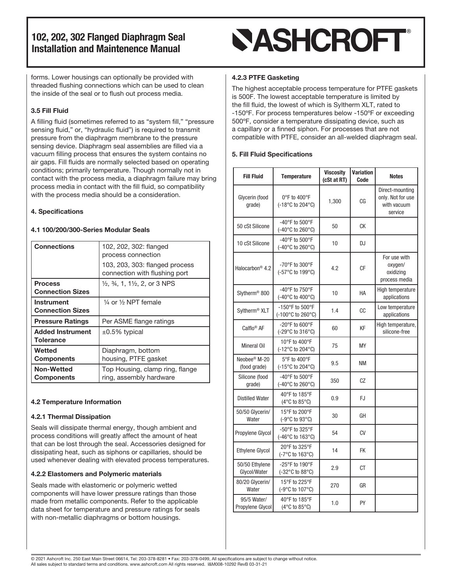forms. Lower housings can optionally be provided with threaded flushing connections which can be used to clean the inside of the seal or to flush out process media.

#### 3.5 Fill Fluid

A filling fluid (sometimes referred to as "system fill," "pressure sensing fluid," or, "hydraulic fluid") is required to transmit pressure from the diaphragm membrane to the pressure sensing device. Diaphragm seal assemblies are filled via a vacuum filling process that ensures the system contains no air gaps. Fill fluids are normally selected based on operating conditions; primarily temperature. Though normally not in contact with the process media, a diaphragm failure may bring process media in contact with the fill fluid, so compatibility with the process media should be a consideration.

#### 4. Specifications

#### 4.1 100/200/300-Series Modular Seals

| <b>Connections</b>                           | 102, 202, 302: flanged<br>process connection                     |  |
|----------------------------------------------|------------------------------------------------------------------|--|
|                                              | 103, 203, 303: flanged process<br>connection with flushing port  |  |
| <b>Process</b><br><b>Connection Sizes</b>    | $\frac{1}{2}$ , $\frac{3}{4}$ , 1, 1 $\frac{1}{2}$ , 2, or 3 NPS |  |
| <b>Instrument</b><br><b>Connection Sizes</b> | $\frac{1}{4}$ or $\frac{1}{2}$ NPT female                        |  |
| <b>Pressure Ratings</b>                      | Per ASME flange ratings                                          |  |
| <b>Added Instrument</b><br><b>Tolerance</b>  | $\pm 0.5\%$ typical                                              |  |
| Wetted<br><b>Components</b>                  | Diaphragm, bottom<br>housing, PTFE gasket                        |  |
| <b>Non-Wetted</b><br><b>Components</b>       | Top Housing, clamp ring, flange<br>ring, assembly hardware       |  |

#### 4.2 Temperature Information

#### 4.2.1 Thermal Dissipation

Seals will dissipate thermal energy, though ambient and process conditions will greatly affect the amount of heat that can be lost through the seal. Accessories designed for dissipating heat, such as siphons or capillaries, should be used whenever dealing with elevated process temperatures.

#### 4.2.2 Elastomers and Polymeric materials

Seals made with elastomeric or polymeric wetted components will have lower pressure ratings than those made from metallic components. Refer to the applicable data sheet for temperature and pressure ratings for seals with non-metallic diaphragms or bottom housings.

## **SASHCROFT®**

#### 4.2.3 PTFE Gasketing

The highest acceptable process temperature for PTFE gaskets is 500F. The lowest acceptable temperature is limited by the fill fluid, the lowest of which is Syltherm XLT, rated to -150ºF. For process temperatures below -150ºF or exceeding 500ºF, consider a temperature dissipating device, such as a capillary or a finned siphon. For processes that are not compatible with PTFE, consider an all-welded diaphragm seal.

#### 5. Fill Fluid Specifications

| <b>Fill Fluid</b>                        | <b>Temperature</b>                                         | <b>Viscosity</b><br>(cSt at RT) | <b>Variation</b><br>Code | <b>Notes</b>                                                   |
|------------------------------------------|------------------------------------------------------------|---------------------------------|--------------------------|----------------------------------------------------------------|
| Glycerin (food<br>qrade)                 | 0°F to 400°F<br>(-18°C to 204°C)                           | 1,300                           | CG                       | Direct-mounting<br>only. Not for use<br>with vacuum<br>service |
| 50 cSt Silicone                          | -40°F to 500°F<br>(-40°C to 260°C)                         | 50                              | СK                       |                                                                |
| 10 cSt Silicone                          | -40 $\degree$ F to 500 $\degree$ F<br>(-40°C to 260°C)     | 10                              | DJ                       |                                                                |
| Halocarbon <sup>®</sup> 4.2              | -70°F to 300°F<br>(-57°C to 199°C)                         | 4.2                             | СF                       | For use with<br>oxygen/<br>oxidizing<br>process media          |
| Slytherm <sup>®</sup> 800                | -40 $\degree$ F to 750 $\degree$ F<br>(-40°C to 400°C)     | 10                              | HA                       | High temperature<br>applications                               |
| Syltherm <sup>®</sup> XLT                | -150°F to 500°F<br>(-100 $\degree$ C to 260 $\degree$ C)   | 1.4                             | СC                       | Low temperature<br>applications                                |
| Calflo <sup>®</sup> AF                   | -20°F to 600°F<br>(-29°C to 316°C)                         | 60                              | KF                       | High temperature,<br>silicone-free                             |
| <b>Mineral Oil</b>                       | 10°F to 400°F<br>$(-12^{\circ}C \text{ to } 204^{\circ}C)$ | 75                              | <b>MY</b>                |                                                                |
| Neobee <sup>®</sup> M-20<br>(food grade) | 5°F to 400°F<br>$(-15^{\circ}C \text{ to } 204^{\circ}C)$  | 9.5                             | <b>NM</b>                |                                                                |
| Silicone (food<br>grade)                 | -40°F to 500°F<br>$(-40^{\circ}$ C to 260 $^{\circ}$ C)    | 350                             | CZ                       |                                                                |
| <b>Distilled Water</b>                   | 40°F to 185°F<br>$(4^{\circ}$ C to 85 $^{\circ}$ C)        | 0.9                             | FJ                       |                                                                |
| 50/50 Glycerin/<br>Water                 | 15°F to 200°F<br>(-9°C to 93°C)                            | 30                              | GH                       |                                                                |
| Propylene Glycol                         | -50°F to 325°F<br>$(-46^{\circ}$ C to 163 $^{\circ}$ C)    | 54                              | CV                       |                                                                |
| <b>Ethylene Glycol</b>                   | 20°F to 325°F<br>$(-7^{\circ}$ C to 163 $^{\circ}$ C)      | 14                              | <b>FK</b>                |                                                                |
| 50/50 Ethylene<br>Glycol/Water           | -25°F to 190°F<br>(-32°C to 88°C)                          | 2.9                             | СT                       |                                                                |
| 80/20 Glycerin/<br>Water                 | 15°F to 225°F<br>$(-9^{\circ}C \text{ to } 107^{\circ}C)$  | 270                             | GR                       |                                                                |
| 95/5 Water/<br>Propylene Glycol          | 40°F to 185°F<br>$(4^{\circ}C$ to 85 $^{\circ}C$ )         | 1.0                             | PY                       |                                                                |

© 2021 Ashcroft Inc. 250 East Main Street 06614, Tel: 203-378-8281 • Fax: 203-378-0499, All specifications are subject to change without notice. All sales subject to standard terms and conditions. www.ashcroft.com All rights reserved. I&M008-10292 RevB 03-31-21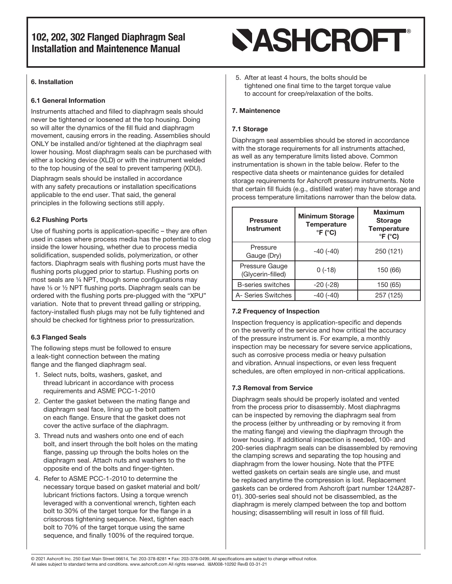#### 6. Installation

#### 6.1 General Information

Instruments attached and filled to diaphragm seals should never be tightened or loosened at the top housing. Doing so will alter the dynamics of the fill fluid and diaphragm movement, causing errors in the reading. Assemblies should ONLY be installed and/or tightened at the diaphragm seal lower housing. Most diaphragm seals can be purchased with either a locking device (XLD) or with the instrument welded to the top housing of the seal to prevent tampering (XDU).

Diaphragm seals should be installed in accordance with any safety precautions or installation specifications applicable to the end user. That said, the general principles in the following sections still apply.

#### 6.2 Flushing Ports

Use of flushing ports is application-specific – they are often used in cases where process media has the potential to clog inside the lower housing, whether due to process media solidification, suspended solids, polymerization, or other factors. Diaphragm seals with flushing ports must have the flushing ports plugged prior to startup. Flushing ports on most seals are ¼ NPT, though some configurations may have  $\frac{1}{2}$  or  $\frac{1}{2}$  NPT flushing ports. Diaphragm seals can be ordered with the flushing ports pre-plugged with the "XPU" variation. Note that to prevent thread galling or stripping, factory-installed flush plugs may not be fully tightened and should be checked for tightness prior to pressurization.

#### 6.3 Flanged Seals

The following steps must be followed to ensure a leak-tight connection between the mating flange and the flanged diaphragm seal.

- 1. Select nuts, bolts, washers, gasket, and thread lubricant in accordance with process requirements and ASME PCC-1-2010
- 2. Center the gasket between the mating flange and diaphragm seal face, lining up the bolt pattern on each flange. Ensure that the gasket does not cover the active surface of the diaphragm.
- 3. Thread nuts and washers onto one end of each bolt, and insert through the bolt holes on the mating flange, passing up through the bolts holes on the diaphragm seal. Attach nuts and washers to the opposite end of the bolts and finger-tighten.
- 4. Refer to ASME PCC-1-2010 to determine the necessary torque based on gasket material and bolt/ lubricant frictions factors. Using a torque wrench leveraged with a conventional wrench, tighten each bolt to 30% of the target torque for the flange in a crisscross tightening sequence. Next, tighten each bolt to 70% of the target torque using the same sequence, and finally 100% of the required torque.

## **SASHCROFT®**

5. After at least 4 hours, the bolts should be tightened one final time to the target torque value to account for creep/relaxation of the bolts.

#### 7. Maintenence

#### 7.1 Storage

Diaphragm seal assemblies should be stored in accordance with the storage requirements for all instruments attached, as well as any temperature limits listed above. Common instrumentation is shown in the table below. Refer to the respective data sheets or maintenance guides for detailed storage requirements for Ashcroft pressure instruments. Note that certain fill fluids (e.g., distilled water) may have storage and process temperature limitations narrower than the below data.

| <b>Pressure</b><br><b>Instrument</b> | <b>Minimum Storage</b><br><b>Temperature</b><br>$\degree$ F ( $\degree$ C) | <b>Maximum</b><br><b>Storage</b><br><b>Temperature</b><br>$\degree$ F ( $\degree$ C) |
|--------------------------------------|----------------------------------------------------------------------------|--------------------------------------------------------------------------------------|
| Pressure<br>Gauge (Dry)              | $-40(-40)$                                                                 | 250 (121)                                                                            |
| Pressure Gauge<br>(Glycerin-filled)  | $0(-18)$                                                                   | 150 (66)                                                                             |
| B-series switches                    | $-20$ $(-28)$                                                              | 150 (65)                                                                             |
| A- Series Switches                   | $-40(-40)$                                                                 | 257 (125)                                                                            |

#### 7.2 Frequency of Inspection

Inspection frequency is application-specific and depends on the severity of the service and how critical the accuracy of the pressure instrument is. For example, a monthly inspection may be necessary for severe service applications, such as corrosive process media or heavy pulsation and vibration. Annual inspections, or even less frequent schedules, are often employed in non-critical applications.

#### 7.3 Removal from Service

Diaphragm seals should be properly isolated and vented from the process prior to disassembly. Most diaphragms can be inspected by removing the diaphragm seal from the process (either by unthreading or by removing it from the mating flange) and viewing the diaphragm through the lower housing. If additional inspection is needed, 100- and 200-series diaphragm seals can be disassembled by removing the clamping screws and separating the top housing and diaphragm from the lower housing. Note that the PTFE wetted gaskets on certain seals are single use, and must be replaced anytime the compression is lost. Replacement gaskets can be ordered from Ashcroft (part number 124A287- 01). 300-series seal should not be disassembled, as the diaphragm is merely clamped between the top and bottom housing; disassembling will result in loss of fill fluid.